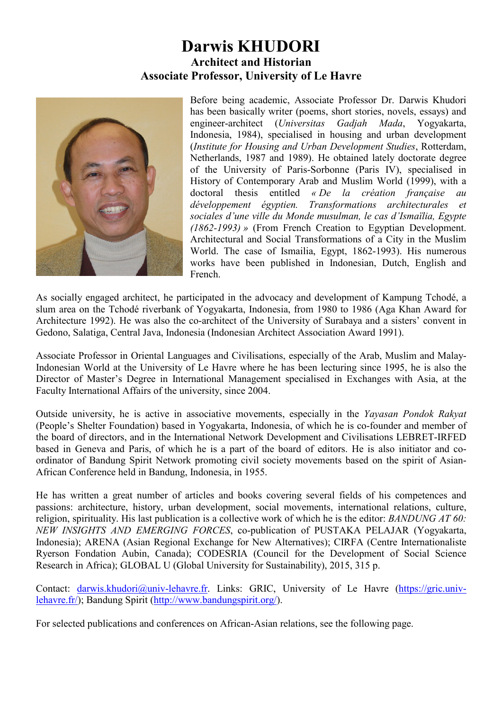## **Darwis KHUDORI Architect and Historian Associate Professor, University of Le Havre**



Before being academic, Associate Professor Dr. Darwis Khudori has been basically writer (poems, short stories, novels, essays) and engineer-architect (*Universitas Gadjah Mada*, Yogyakarta, Indonesia, 1984), specialised in housing and urban development (*Institute for Housing and Urban Development Studies*, Rotterdam, Netherlands, 1987 and 1989). He obtained lately doctorate degree of the University of Paris-Sorbonne (Paris IV), specialised in History of Contemporary Arab and Muslim World (1999), with a doctoral thesis entitled *« De la création française au développement égyptien. Transformations architecturales et sociales d'une ville du Monde musulman, le cas d'Ismaïlia, Egypte (1862-1993) »* (From French Creation to Egyptian Development. Architectural and Social Transformations of a City in the Muslim World. The case of Ismailia, Egypt, 1862-1993). His numerous works have been published in Indonesian, Dutch, English and French.

As socially engaged architect, he participated in the advocacy and development of Kampung Tchodé, a slum area on the Tchodé riverbank of Yogyakarta, Indonesia, from 1980 to 1986 (Aga Khan Award for Architecture 1992). He was also the co-architect of the University of Surabaya and a sisters' convent in Gedono, Salatiga, Central Java, Indonesia (Indonesian Architect Association Award 1991).

Associate Professor in Oriental Languages and Civilisations, especially of the Arab, Muslim and Malay-Indonesian World at the University of Le Havre where he has been lecturing since 1995, he is also the Director of Master's Degree in International Management specialised in Exchanges with Asia, at the Faculty International Affairs of the university, since 2004.

Outside university, he is active in associative movements, especially in the *Yayasan Pondok Rakyat* (People's Shelter Foundation) based in Yogyakarta, Indonesia, of which he is co-founder and member of the board of directors, and in the International Network Development and Civilisations LEBRET-IRFED based in Geneva and Paris, of which he is a part of the board of editors. He is also initiator and coordinator of Bandung Spirit Network promoting civil society movements based on the spirit of Asian-African Conference held in Bandung, Indonesia, in 1955.

He has written a great number of articles and books covering several fields of his competences and passions: architecture, history, urban development, social movements, international relations, culture, religion, spirituality. His last publication is a collective work of which he is the editor: *BANDUNG AT 60: NEW INSIGHTS AND EMERGING FORCES*, co-publication of PUSTAKA PELAJAR (Yogyakarta, Indonesia); ARENA (Asian Regional Exchange for New Alternatives); CIRFA (Centre Internationaliste Ryerson Fondation Aubin, Canada); CODESRIA (Council for the Development of Social Science Research in Africa); GLOBAL U (Global University for Sustainability), 2015, 315 p.

Contact: darwis.khudori@univ-lehavre.fr. Links: GRIC, University of Le Havre (https://gric.univlehavre.fr/); Bandung Spirit (http://www.bandungspirit.org/).

For selected publications and conferences on African-Asian relations, see the following page.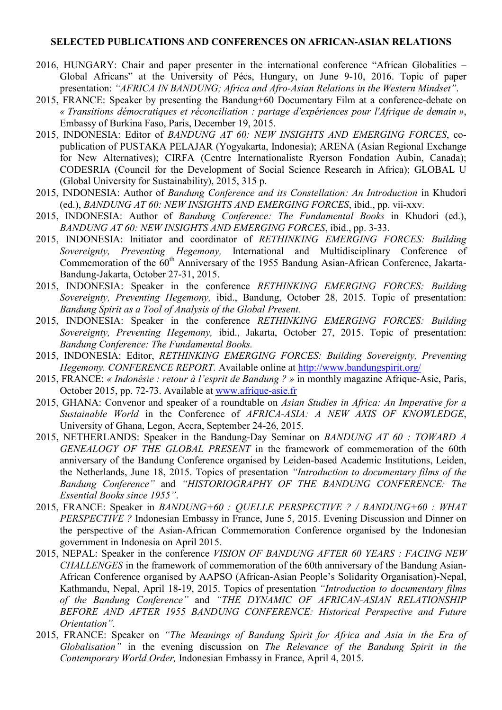## **SELECTED PUBLICATIONS AND CONFERENCES ON AFRICAN-ASIAN RELATIONS**

- 2016, HUNGARY: Chair and paper presenter in the international conference "African Globalities Global Africans" at the University of Pécs, Hungary, on June 9-10, 2016. Topic of paper presentation: *"AFRICA IN BANDUNG; Africa and Afro-Asian Relations in the Western Mindset"*.
- 2015, FRANCE: Speaker by presenting the Bandung+60 Documentary Film at a conference-debate on *« Transitions démocratiques et réconciliation : partage d'expériences pour l'Afrique de demain »*, Embassy of Burkina Faso, Paris, December 19, 2015.
- 2015, INDONESIA: Editor of *BANDUNG AT 60: NEW INSIGHTS AND EMERGING FORCES*, copublication of PUSTAKA PELAJAR (Yogyakarta, Indonesia); ARENA (Asian Regional Exchange for New Alternatives); CIRFA (Centre Internationaliste Ryerson Fondation Aubin, Canada); CODESRIA (Council for the Development of Social Science Research in Africa); GLOBAL U (Global University for Sustainability), 2015, 315 p.
- 2015, INDONESIA: Author of *Bandung Conference and its Constellation: An Introduction* in Khudori (ed.), *BANDUNG AT 60: NEW INSIGHTS AND EMERGING FORCES*, ibid., pp. vii-xxv.
- 2015, INDONESIA: Author of *Bandung Conference: The Fundamental Books* in Khudori (ed.), *BANDUNG AT 60: NEW INSIGHTS AND EMERGING FORCES*, ibid., pp. 3-33.
- 2015, INDONESIA: Initiator and coordinator of *RETHINKING EMERGING FORCES: Building Sovereignty, Preventing Hegemony,* International and Multidisciplinary Conference of Commemoration of the 60<sup>th</sup> Anniversary of the 1955 Bandung Asian-African Conference, Jakarta-Bandung-Jakarta, October 27-31, 2015.
- 2015, INDONESIA: Speaker in the conference *RETHINKING EMERGING FORCES: Building Sovereignty, Preventing Hegemony,* ibid., Bandung, October 28, 2015. Topic of presentation: *Bandung Spirit as a Tool of Analysis of the Global Present.*
- 2015, INDONESIA: Speaker in the conference *RETHINKING EMERGING FORCES: Building Sovereignty, Preventing Hegemony,* ibid., Jakarta, October 27, 2015. Topic of presentation: *Bandung Conference: The Fundamental Books.*
- 2015, INDONESIA: Editor, *RETHINKING EMERGING FORCES: Building Sovereignty, Preventing Hegemony. CONFERENCE REPORT.* Available online at http://www.bandungspirit.org/
- 2015, FRANCE: *« Indonésie : retour à l'esprit de Bandung ? »* in monthly magazine Afrique-Asie, Paris, October 2015, pp. 72-73. Available at www.afrique-asie.fr
- 2015, GHANA: Convenor and speaker of a roundtable on *Asian Studies in Africa: An Imperative for a Sustainable World* in the Conference of *AFRICA-ASIA: A NEW AXIS OF KNOWLEDGE*, University of Ghana, Legon, Accra, September 24-26, 2015.
- 2015, NETHERLANDS: Speaker in the Bandung-Day Seminar on *BANDUNG AT 60 : TOWARD A GENEALOGY OF THE GLOBAL PRESENT* in the framework of commemoration of the 60th anniversary of the Bandung Conference organised by Leiden-based Academic Institutions, Leiden, the Netherlands, June 18, 2015. Topics of presentation *"Introduction to documentary films of the Bandung Conference"* and *"HISTORIOGRAPHY OF THE BANDUNG CONFERENCE: The Essential Books since 1955"*.
- 2015, FRANCE: Speaker in *BANDUNG+60 : QUELLE PERSPECTIVE ? / BANDUNG+60 : WHAT PERSPECTIVE ?* Indonesian Embassy in France, June 5, 2015. Evening Discussion and Dinner on the perspective of the Asian-African Commemoration Conference organised by the Indonesian government in Indonesia on April 2015.
- 2015, NEPAL: Speaker in the conference *VISION OF BANDUNG AFTER 60 YEARS : FACING NEW CHALLENGES* in the framework of commemoration of the 60th anniversary of the Bandung Asian-African Conference organised by AAPSO (African-Asian People's Solidarity Organisation)-Nepal, Kathmandu, Nepal, April 18-19, 2015. Topics of presentation *"Introduction to documentary films of the Bandung Conference"* and *"THE DYNAMIC OF AFRICAN-ASIAN RELATIONSHIP BEFORE AND AFTER 1955 BANDUNG CONFERENCE: Historical Perspective and Future Orientation".*
- 2015, FRANCE: Speaker on *"The Meanings of Bandung Spirit for Africa and Asia in the Era of Globalisation"* in the evening discussion on *The Relevance of the Bandung Spirit in the Contemporary World Order,* Indonesian Embassy in France, April 4, 2015.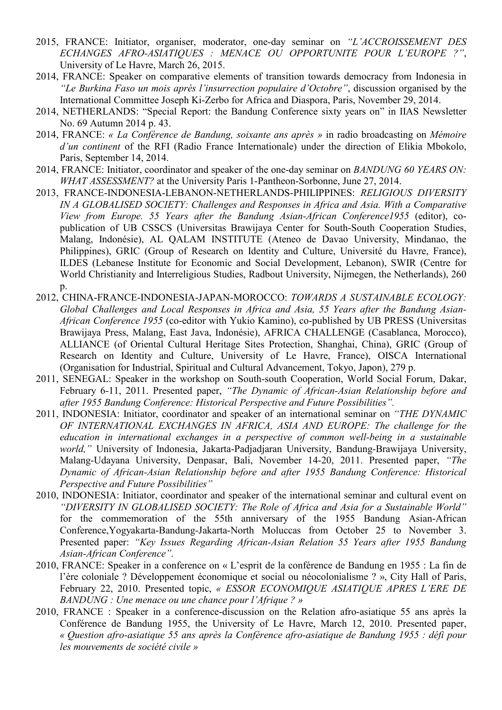- 2015, FRANCE: Initiator, organiser, moderator, one-day seminar on *"L'ACCROISSEMENT DES ECHANGES AFRO-ASIATIQUES : MENACE OU OPPORTUNITE POUR L'EUROPE ?"*, University of Le Havre, March 26, 2015.
- 2014, FRANCE: Speaker on comparative elements of transition towards democracy from Indonesia in *"Le Burkina Faso un mois après l'insurrection populaire d'Octobre"*, discussion organised by the International Committee Joseph Ki-Zerbo for Africa and Diaspora, Paris, November 29, 2014.
- 2014, NETHERLANDS: "Special Report: the Bandung Conference sixty years on" in IIAS Newsletter No. 69 Autumn 2014 p. 43.
- 2014, FRANCE: *« La Conférence de Bandung, soixante ans après »* in radio broadcasting on *Mémoire d'un continent* of the RFI (Radio France Internationale) under the direction of Elikia Mbokolo, Paris, September 14, 2014.
- 2014, FRANCE: Initiator, coordinator and speaker of the one-day seminar on *BANDUNG 60 YEARS ON: WHAT ASSESSMENT?* at the University Paris 1-Pantheon-Sorbonne, June 27, 2014.
- 2013, FRANCE-INDONESIA-LEBANON-NETHERLANDS-PHILIPPINES: *RELIGIOUS DIVERSITY IN A GLOBALISED SOCIETY: Challenges and Responses in Africa and Asia. With a Comparative View from Europe. 55 Years after the Bandung Asian-African Conference1955* (editor), copublication of UB CSSCS (Universitas Brawijaya Center for South-South Cooperation Studies, Malang, Indonésie), AL QALAM INSTITUTE (Ateneo de Davao University, Mindanao, the Philippines), GRIC (Group of Research on Identity and Culture, Université du Havre, France), ILDES (Lebanese Institute for Economic and Social Development, Lebanon), SWIR (Centre for World Christianity and Interreligious Studies, Radbout University, Nijmegen, the Netherlands), 260 p.
- 2012, CHINA-FRANCE-INDONESIA-JAPAN-MOROCCO: *TOWARDS A SUSTAINABLE ECOLOGY: Global Challenges and Local Responses in Africa and Asia, 55 Years after the Bandung Asian-African Conference 1955* (co-editor with Yukio Kamino), co-published by UB PRESS (Universitas Brawijaya Press, Malang, East Java, Indonésie), AFRICA CHALLENGE (Casablanca, Morocco), ALLIANCE (of Oriental Cultural Heritage Sites Protection, Shanghai, China), GRIC (Group of Research on Identity and Culture, University of Le Havre, France), OISCA International (Organisation for Industrial, Spiritual and Cultural Advancement, Tokyo, Japon), 279 p.
- 2011, SENEGAL: Speaker in the workshop on South-south Cooperation, World Social Forum, Dakar, February 6-11, 2011. Presented paper, *"The Dynamic of African-Asian Relationship before and after 1955 Bandung Conference: Historical Perspective and Future Possibilities".*
- 2011, INDONESIA: Initiator, coordinator and speaker of an international seminar on *"THE DYNAMIC OF INTERNATIONAL EXCHANGES IN AFRICA, ASIA AND EUROPE: The challenge for the education in international exchanges in a perspective of common well-being in a sustainable world,"* University of Indonesia, Jakarta-Padjadjaran University, Bandung-Brawijaya University, Malang-Udayana University, Denpasar, Bali, November 14-20, 2011. Presented paper, *"The Dynamic of African-Asian Relationship before and after 1955 Bandung Conference: Historical Perspective and Future Possibilities"*
- 2010, INDONESIA: Initiator, coordinator and speaker of the international seminar and cultural event on *"DIVERSITY IN GLOBALISED SOCIETY: The Role of Africa and Asia for a Sustainable World"*  for the commemoration of the 55th anniversary of the 1955 Bandung Asian-African Conference,Yogyakarta-Bandung-Jakarta-North Moluccas from October 25 to November 3. Presented paper: *"Key Issues Regarding African-Asian Relation 55 Years after 1955 Bandung Asian-African Conference".*
- 2010, FRANCE: Speaker in a conference on « L'esprit de la conférence de Bandung en 1955 : La fin de l'ère coloniale ? Développement économique et social ou néocolonialisme ? », City Hall of Paris, February 22, 2010. Presented topic, *« ESSOR ECONOMIQUE ASIATIQUE APRES L'ERE DE BANDUNG : Une menace ou une chance pour l'Afrique ? »*
- 2010, FRANCE : Speaker in a conference-discussion on the Relation afro-asiatique 55 ans après la Conférence de Bandung 1955, the University of Le Havre, March 12, 2010. Presented paper, *« Question afro-asiatique 55 ans après la Conférence afro-asiatique de Bandung 1955 : défi pour les mouvements de société civile »*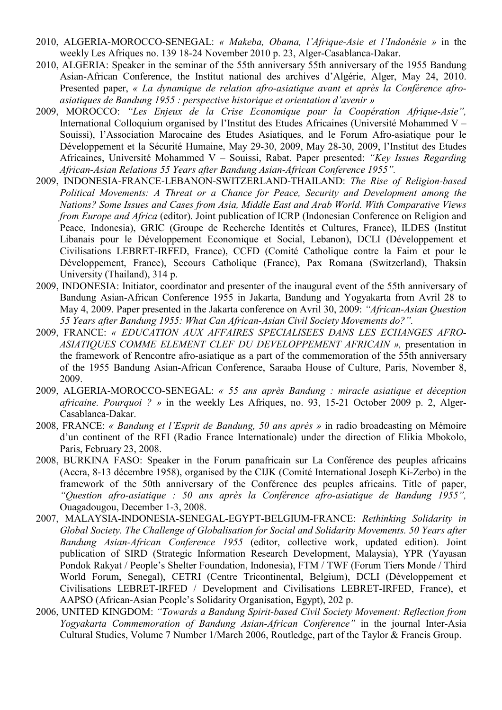- 2010, ALGERIA-MOROCCO-SENEGAL: *« Makeba, Obama, l'Afrique-Asie et l'Indonésie »* in the weekly Les Afriques no. 139 18-24 November 2010 p. 23, Alger-Casablanca-Dakar.
- 2010, ALGERIA: Speaker in the seminar of the 55th anniversary 55th anniversary of the 1955 Bandung Asian-African Conference, the Institut national des archives d'Algérie, Alger, May 24, 2010. Presented paper, *« La dynamique de relation afro-asiatique avant et après la Conférence afroasiatiques de Bandung 1955 : perspective historique et orientation d'avenir »*
- 2009, MOROCCO: *"Les Enjeux de la Crise Economique pour la Coopération Afrique-Asie",* International Colloquium organised by l'Institut des Etudes Africaines (Université Mohammed V – Souissi), l'Association Marocaine des Etudes Asiatiques, and le Forum Afro-asiatique pour le Développement et la Sécurité Humaine, May 29-30, 2009, May 28-30, 2009, l'Institut des Etudes Africaines, Université Mohammed V – Souissi, Rabat. Paper presented: *"Key Issues Regarding African-Asian Relations 55 Years after Bandung Asian-African Conference 1955".*
- 2009, INDONESIA-FRANCE-LEBANON-SWITZERLAND-THAILAND: *The Rise of Religion-based Political Movements: A Threat or a Chance for Peace, Security and Development among the Nations? Some Issues and Cases from Asia, Middle East and Arab World. With Comparative Views from Europe and Africa* (editor). Joint publication of ICRP (Indonesian Conference on Religion and Peace, Indonesia), GRIC (Groupe de Recherche Identités et Cultures, France), ILDES (Institut Libanais pour le Développement Economique et Social, Lebanon), DCLI (Développement et Civilisations LEBRET-IRFED, France), CCFD (Comité Catholique contre la Faim et pour le Développement, France), Secours Catholique (France), Pax Romana (Switzerland), Thaksin University (Thailand), 314 p.
- 2009, INDONESIA: Initiator, coordinator and presenter of the inaugural event of the 55th anniversary of Bandung Asian-African Conference 1955 in Jakarta, Bandung and Yogyakarta from Avril 28 to May 4, 2009. Paper presented in the Jakarta conference on Avril 30, 2009: *"African-Asian Question 55 Years after Bandung 1955: What Can African-Asian Civil Society Movements do?".*
- 2009, FRANCE: *« EDUCATION AUX AFFAIRES SPECIALISEES DANS LES ECHANGES AFRO-ASIATIQUES COMME ELEMENT CLEF DU DEVELOPPEMENT AFRICAIN »,* presentation in the framework of Rencontre afro-asiatique as a part of the commemoration of the 55th anniversary of the 1955 Bandung Asian-African Conference, Saraaba House of Culture, Paris, November 8, 2009.
- 2009, ALGERIA-MOROCCO-SENEGAL: *« 55 ans après Bandung : miracle asiatique et déception africaine. Pourquoi ? »* in the weekly Les Afriques, no. 93, 15-21 October 2009 p. 2, Alger-Casablanca-Dakar.
- 2008, FRANCE: *« Bandung et l'Esprit de Bandung, 50 ans après »* in radio broadcasting on Mémoire d'un continent of the RFI (Radio France Internationale) under the direction of Elikia Mbokolo, Paris, February 23, 2008.
- 2008, BURKINA FASO: Speaker in the Forum panafricain sur La Conférence des peuples africains (Accra, 8-13 décembre 1958), organised by the CIJK (Comité International Joseph Ki-Zerbo) in the framework of the 50th anniversary of the Conférence des peuples africains. Title of paper, *"Question afro-asiatique : 50 ans après la Conférence afro-asiatique de Bandung 1955",* Ouagadougou, December 1-3, 2008.
- 2007, MALAYSIA-INDONESIA-SENEGAL-EGYPT-BELGIUM-FRANCE: *Rethinking Solidarity in Global Society. The Challenge of Globalisation for Social and Solidarity Movements. 50 Years after Bandung Asian-African Conference 1955* (editor, collective work, updated edition). Joint publication of SIRD (Strategic Information Research Development, Malaysia), YPR (Yayasan Pondok Rakyat / People's Shelter Foundation, Indonesia), FTM / TWF (Forum Tiers Monde / Third World Forum, Senegal), CETRI (Centre Tricontinental, Belgium), DCLI (Développement et Civilisations LEBRET-IRFED / Development and Civilisations LEBRET-IRFED, France), et AAPSO (African-Asian People's Solidarity Organisation, Egypt), 202 p.
- 2006, UNITED KINGDOM: *"Towards a Bandung Spirit-based Civil Society Movement: Reflection from Yogyakarta Commemoration of Bandung Asian-African Conference"* in the journal Inter-Asia Cultural Studies, Volume 7 Number 1/March 2006, Routledge, part of the Taylor & Francis Group.